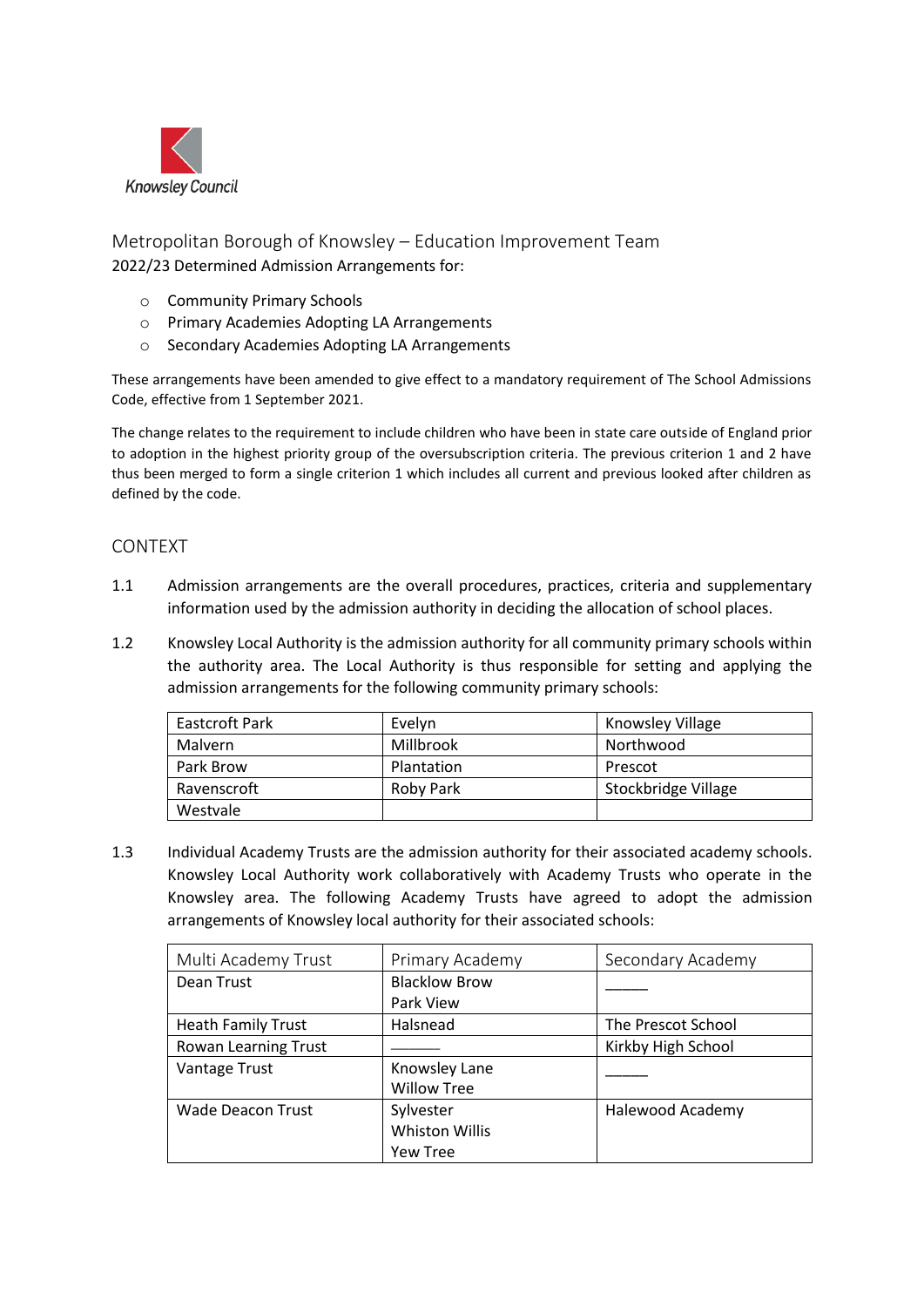

Metropolitan Borough of Knowsley – Education Improvement Team 2022/23 Determined Admission Arrangements for:

- o Community Primary Schools
- o Primary Academies Adopting LA Arrangements
- o Secondary Academies Adopting LA Arrangements

These arrangements have been amended to give effect to a mandatory requirement of The School Admissions Code, effective from 1 September 2021.

The change relates to the requirement to include children who have been in state care outside of England prior to adoption in the highest priority group of the oversubscription criteria. The previous criterion 1 and 2 have thus been merged to form a single criterion 1 which includes all current and previous looked after children as defined by the code.

## CONTEXT

- 1.1 Admission arrangements are the overall procedures, practices, criteria and supplementary information used by the admission authority in deciding the allocation of school places.
- 1.2 Knowsley Local Authority is the admission authority for all community primary schools within the authority area. The Local Authority is thus responsible for setting and applying the admission arrangements for the following community primary schools:

| Eastcroft Park | Evelyn     | Knowsley Village    |
|----------------|------------|---------------------|
| <b>Malvern</b> | Millbrook  | Northwood           |
| Park Brow      | Plantation | Prescot             |
| Ravenscroft    | Roby Park  | Stockbridge Village |
| Westvale       |            |                     |

1.3 Individual Academy Trusts are the admission authority for their associated academy schools. Knowsley Local Authority work collaboratively with Academy Trusts who operate in the Knowsley area. The following Academy Trusts have agreed to adopt the admission arrangements of Knowsley local authority for their associated schools:

| Multi Academy Trust       | Primary Academy       | Secondary Academy  |
|---------------------------|-----------------------|--------------------|
| Dean Trust                | <b>Blacklow Brow</b>  |                    |
|                           | Park View             |                    |
| <b>Heath Family Trust</b> | Halsnead              | The Prescot School |
| Rowan Learning Trust      |                       | Kirkby High School |
| Vantage Trust             | Knowsley Lane         |                    |
|                           | <b>Willow Tree</b>    |                    |
| <b>Wade Deacon Trust</b>  | Sylvester             | Halewood Academy   |
|                           | <b>Whiston Willis</b> |                    |
|                           | <b>Yew Tree</b>       |                    |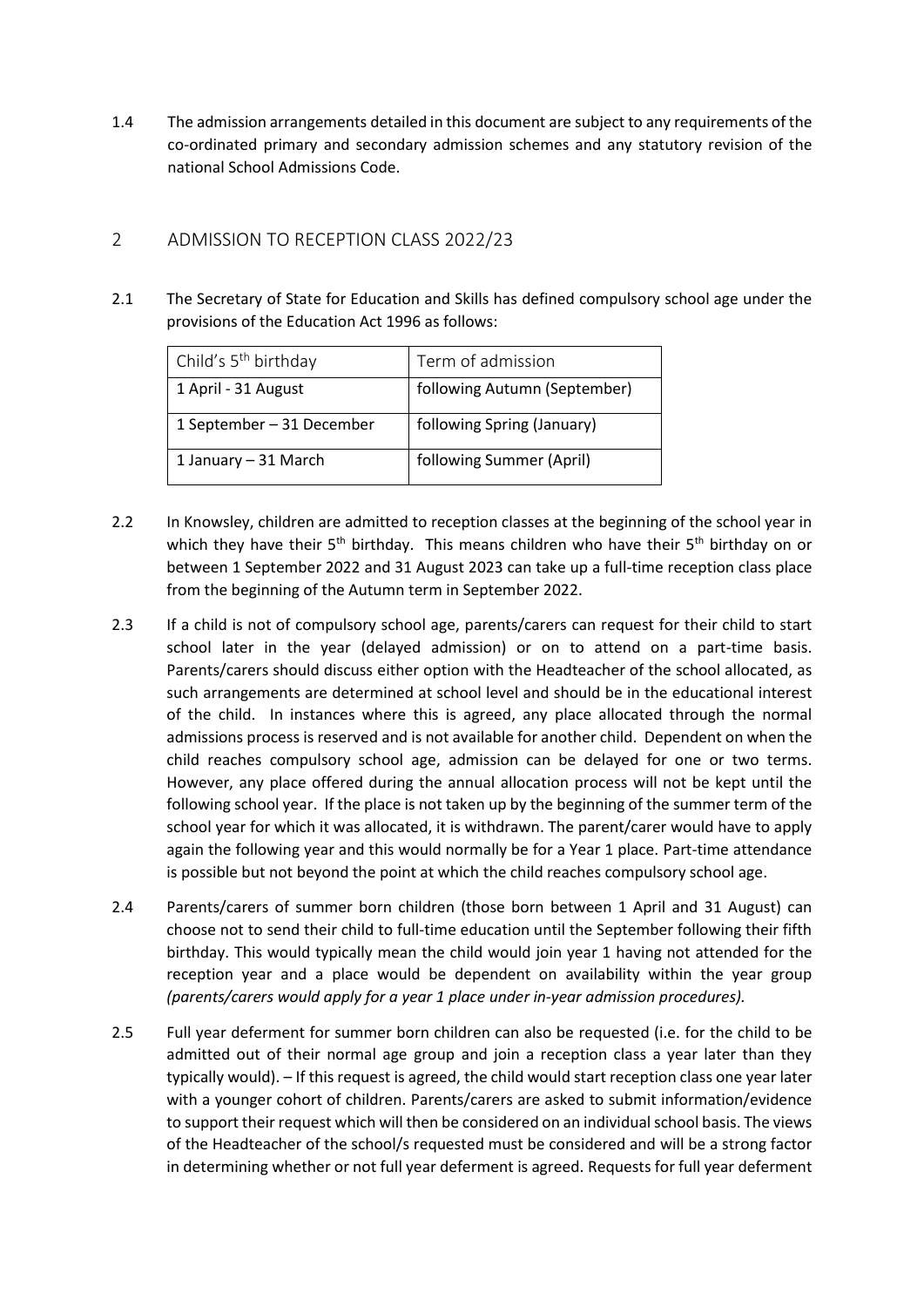1.4 The admission arrangements detailed in this document are subject to any requirements of the co-ordinated primary and secondary admission schemes and any statutory revision of the national School Admissions Code.

## 2 ADMISSION TO RECEPTION CLASS 2022/23

2.1 The Secretary of State for Education and Skills has defined compulsory school age under the provisions of the Education Act 1996 as follows:

| Child's 5 <sup>th</sup> birthday | Term of admission            |
|----------------------------------|------------------------------|
| 1 April - 31 August              | following Autumn (September) |
| 1 September - 31 December        | following Spring (January)   |
| 1 January – 31 March             | following Summer (April)     |

- 2.2 In Knowsley, children are admitted to reception classes at the beginning of the school year in which they have their  $5<sup>th</sup>$  birthday. This means children who have their  $5<sup>th</sup>$  birthday on or between 1 September 2022 and 31 August 2023 can take up a full-time reception class place from the beginning of the Autumn term in September 2022.
- 2.3 If a child is not of compulsory school age, parents/carers can request for their child to start school later in the year (delayed admission) or on to attend on a part-time basis. Parents/carers should discuss either option with the Headteacher of the school allocated, as such arrangements are determined at school level and should be in the educational interest of the child. In instances where this is agreed, any place allocated through the normal admissions process is reserved and is not available for another child. Dependent on when the child reaches compulsory school age, admission can be delayed for one or two terms. However, any place offered during the annual allocation process will not be kept until the following school year. If the place is not taken up by the beginning of the summer term of the school year for which it was allocated, it is withdrawn. The parent/carer would have to apply again the following year and this would normally be for a Year 1 place. Part-time attendance is possible but not beyond the point at which the child reaches compulsory school age.
- 2.4 Parents/carers of summer born children (those born between 1 April and 31 August) can choose not to send their child to full-time education until the September following their fifth birthday. This would typically mean the child would join year 1 having not attended for the reception year and a place would be dependent on availability within the year group *(parents/carers would apply for a year 1 place under in-year admission procedures).*
- 2.5 Full year deferment for summer born children can also be requested (i.e. for the child to be admitted out of their normal age group and join a reception class a year later than they typically would). – If this request is agreed, the child would start reception class one year later with a younger cohort of children. Parents/carers are asked to submit information/evidence to support their request which will then be considered on an individual school basis. The views of the Headteacher of the school/s requested must be considered and will be a strong factor in determining whether or not full year deferment is agreed. Requests for full year deferment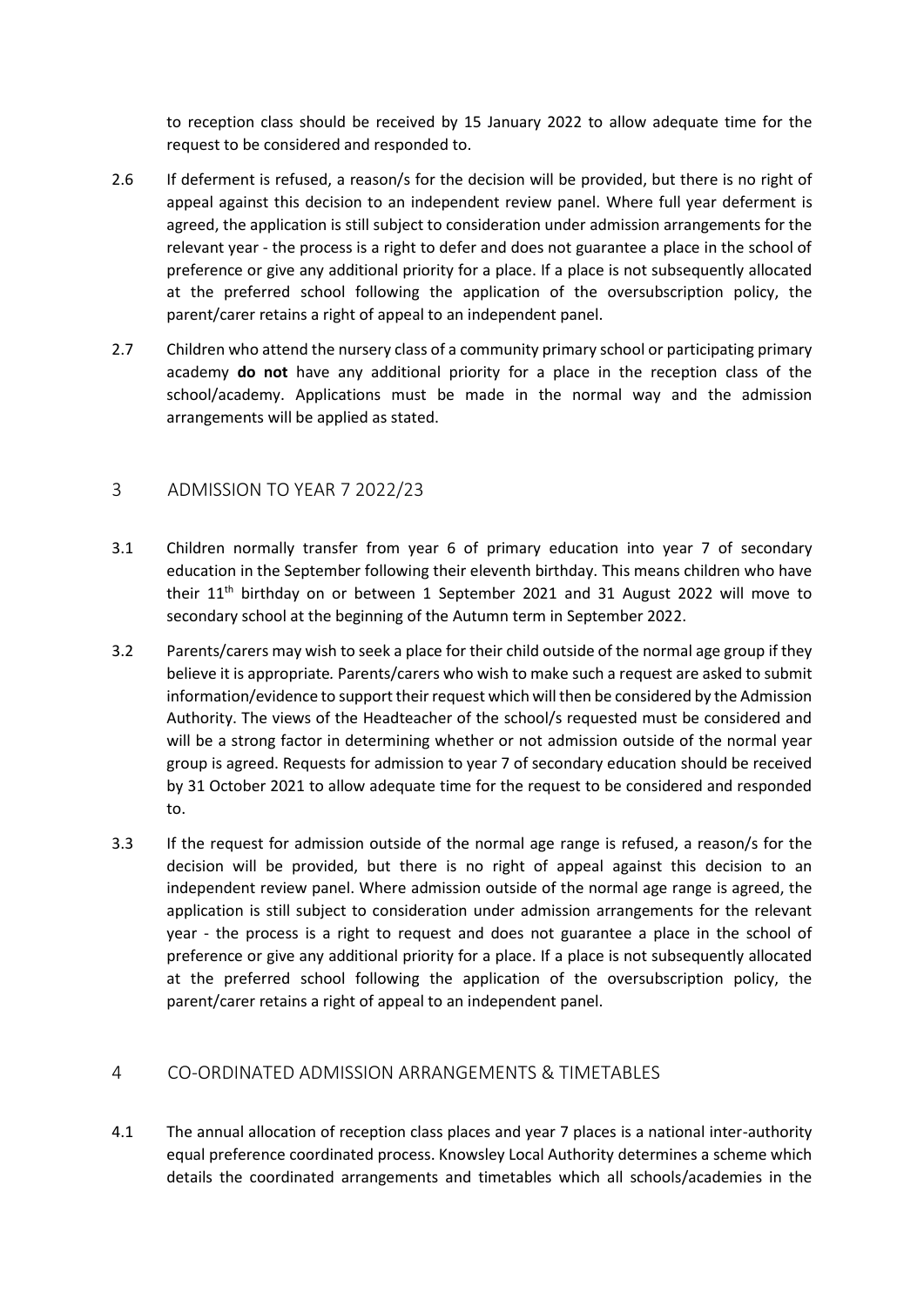to reception class should be received by 15 January 2022 to allow adequate time for the request to be considered and responded to.

- 2.6 If deferment is refused, a reason/s for the decision will be provided, but there is no right of appeal against this decision to an independent review panel. Where full year deferment is agreed, the application is still subject to consideration under admission arrangements for the relevant year - the process is a right to defer and does not guarantee a place in the school of preference or give any additional priority for a place. If a place is not subsequently allocated at the preferred school following the application of the oversubscription policy, the parent/carer retains a right of appeal to an independent panel.
- 2.7 Children who attend the nursery class of a community primary school or participating primary academy **do not** have any additional priority for a place in the reception class of the school/academy. Applications must be made in the normal way and the admission arrangements will be applied as stated.

### 3 ADMISSION TO YEAR 7 2022/23

- 3.1 Children normally transfer from year 6 of primary education into year 7 of secondary education in the September following their eleventh birthday. This means children who have their  $11<sup>th</sup>$  birthday on or between 1 September 2021 and 31 August 2022 will move to secondary school at the beginning of the Autumn term in September 2022.
- 3.2 Parents/carers may wish to seek a place for their child outside of the normal age group if they believe it is appropriate*.* Parents/carers who wish to make such a request are asked to submit information/evidence to support their request which will then be considered by the Admission Authority. The views of the Headteacher of the school/s requested must be considered and will be a strong factor in determining whether or not admission outside of the normal year group is agreed. Requests for admission to year 7 of secondary education should be received by 31 October 2021 to allow adequate time for the request to be considered and responded to.
- 3.3 If the request for admission outside of the normal age range is refused, a reason/s for the decision will be provided, but there is no right of appeal against this decision to an independent review panel. Where admission outside of the normal age range is agreed, the application is still subject to consideration under admission arrangements for the relevant year - the process is a right to request and does not guarantee a place in the school of preference or give any additional priority for a place. If a place is not subsequently allocated at the preferred school following the application of the oversubscription policy, the parent/carer retains a right of appeal to an independent panel.

# 4 CO-ORDINATED ADMISSION ARRANGEMENTS & TIMETABLES

4.1 The annual allocation of reception class places and year 7 places is a national inter-authority equal preference coordinated process. Knowsley Local Authority determines a scheme which details the coordinated arrangements and timetables which all schools/academies in the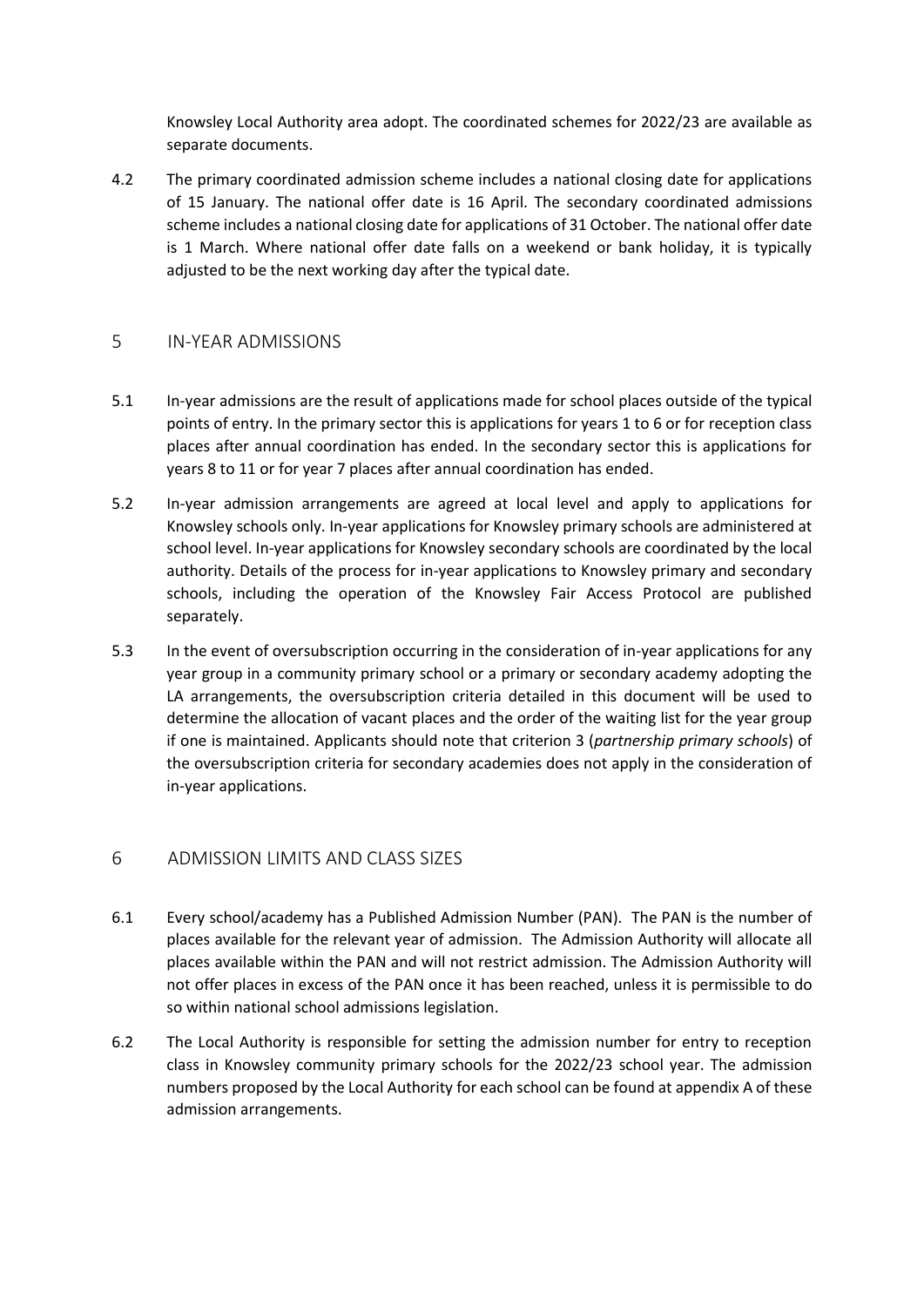Knowsley Local Authority area adopt. The coordinated schemes for 2022/23 are available as separate documents.

4.2 The primary coordinated admission scheme includes a national closing date for applications of 15 January. The national offer date is 16 April. The secondary coordinated admissions scheme includes a national closing date for applications of 31 October. The national offer date is 1 March. Where national offer date falls on a weekend or bank holiday, it is typically adjusted to be the next working day after the typical date.

## 5 IN-YEAR ADMISSIONS

- 5.1 In-year admissions are the result of applications made for school places outside of the typical points of entry. In the primary sector this is applications for years 1 to 6 or for reception class places after annual coordination has ended. In the secondary sector this is applications for years 8 to 11 or for year 7 places after annual coordination has ended.
- 5.2 In-year admission arrangements are agreed at local level and apply to applications for Knowsley schools only. In-year applications for Knowsley primary schools are administered at school level. In-year applications for Knowsley secondary schools are coordinated by the local authority. Details of the process for in-year applications to Knowsley primary and secondary schools, including the operation of the Knowsley Fair Access Protocol are published separately.
- 5.3 In the event of oversubscription occurring in the consideration of in-year applications for any year group in a community primary school or a primary or secondary academy adopting the LA arrangements, the oversubscription criteria detailed in this document will be used to determine the allocation of vacant places and the order of the waiting list for the year group if one is maintained. Applicants should note that criterion 3 (*partnership primary schools*) of the oversubscription criteria for secondary academies does not apply in the consideration of in-year applications.

## 6 ADMISSION LIMITS AND CLASS SIZES

- 6.1 Every school/academy has a Published Admission Number (PAN). The PAN is the number of places available for the relevant year of admission. The Admission Authority will allocate all places available within the PAN and will not restrict admission. The Admission Authority will not offer places in excess of the PAN once it has been reached, unless it is permissible to do so within national school admissions legislation.
- 6.2 The Local Authority is responsible for setting the admission number for entry to reception class in Knowsley community primary schools for the 2022/23 school year. The admission numbers proposed by the Local Authority for each school can be found at appendix A of these admission arrangements.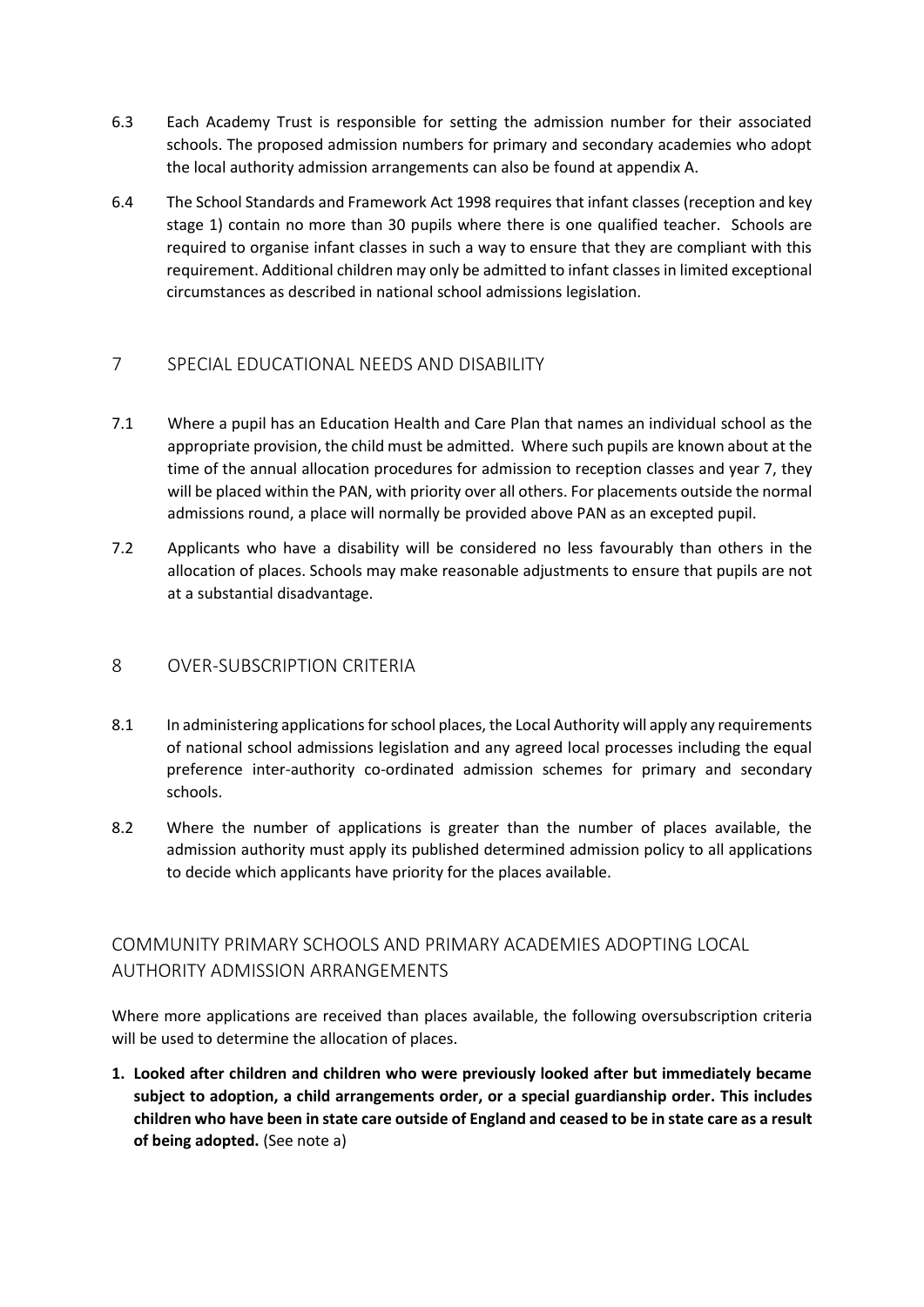- 6.3 Each Academy Trust is responsible for setting the admission number for their associated schools. The proposed admission numbers for primary and secondary academies who adopt the local authority admission arrangements can also be found at appendix A.
- 6.4 The School Standards and Framework Act 1998 requires that infant classes (reception and key stage 1) contain no more than 30 pupils where there is one qualified teacher. Schools are required to organise infant classes in such a way to ensure that they are compliant with this requirement. Additional children may only be admitted to infant classes in limited exceptional circumstances as described in national school admissions legislation.

# 7 SPECIAL EDUCATIONAL NEEDS AND DISABILITY

- 7.1 Where a pupil has an Education Health and Care Plan that names an individual school as the appropriate provision, the child must be admitted. Where such pupils are known about at the time of the annual allocation procedures for admission to reception classes and year 7, they will be placed within the PAN, with priority over all others. For placements outside the normal admissions round, a place will normally be provided above PAN as an excepted pupil.
- 7.2 Applicants who have a disability will be considered no less favourably than others in the allocation of places. Schools may make reasonable adjustments to ensure that pupils are not at a substantial disadvantage.

# 8 OVER-SUBSCRIPTION CRITERIA

- 8.1 In administering applications for school places, the Local Authority will apply any requirements of national school admissions legislation and any agreed local processes including the equal preference inter-authority co-ordinated admission schemes for primary and secondary schools.
- 8.2 Where the number of applications is greater than the number of places available, the admission authority must apply its published determined admission policy to all applications to decide which applicants have priority for the places available.

# COMMUNITY PRIMARY SCHOOLS AND PRIMARY ACADEMIES ADOPTING LOCAL AUTHORITY ADMISSION ARRANGEMENTS

Where more applications are received than places available, the following oversubscription criteria will be used to determine the allocation of places.

**1. Looked after children and children who were previously looked after but immediately became subject to adoption, a child arrangements order, or a special guardianship order. This includes children who have been in state care outside of England and ceased to be in state care as a result of being adopted.** (See note a)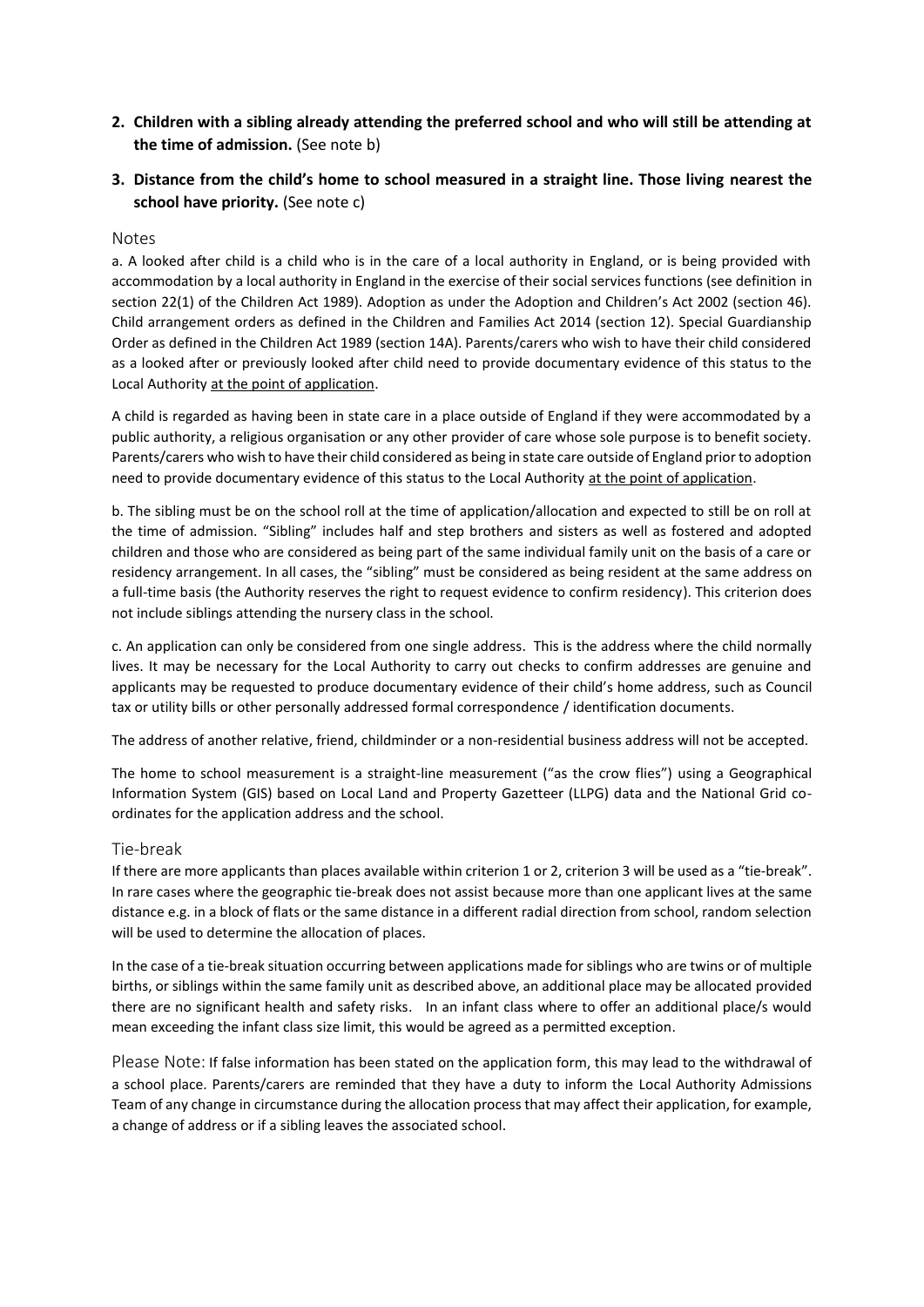- **2. Children with a sibling already attending the preferred school and who will still be attending at the time of admission.** (See note b)
- **3. Distance from the child's home to school measured in a straight line. Those living nearest the school have priority.** (See note c)

#### Notes

a. A looked after child is a child who is in the care of a local authority in England, or is being provided with accommodation by a local authority in England in the exercise of their social services functions (see definition in section 22(1) of the Children Act 1989). Adoption as under the Adoption and Children's Act 2002 (section 46). Child arrangement orders as defined in the Children and Families Act 2014 (section 12). Special Guardianship Order as defined in the Children Act 1989 (section 14A). Parents/carers who wish to have their child considered as a looked after or previously looked after child need to provide documentary evidence of this status to the Local Authority at the point of application.

A child is regarded as having been in state care in a place outside of England if they were accommodated by a public authority, a religious organisation or any other provider of care whose sole purpose is to benefit society*.*  Parents/carers who wish to have their child considered as being in state care outside of England prior to adoption need to provide documentary evidence of this status to the Local Authority at the point of application.

b. The sibling must be on the school roll at the time of application/allocation and expected to still be on roll at the time of admission. "Sibling" includes half and step brothers and sisters as well as fostered and adopted children and those who are considered as being part of the same individual family unit on the basis of a care or residency arrangement. In all cases, the "sibling" must be considered as being resident at the same address on a full-time basis (the Authority reserves the right to request evidence to confirm residency). This criterion does not include siblings attending the nursery class in the school.

c. An application can only be considered from one single address. This is the address where the child normally lives. It may be necessary for the Local Authority to carry out checks to confirm addresses are genuine and applicants may be requested to produce documentary evidence of their child's home address, such as Council tax or utility bills or other personally addressed formal correspondence / identification documents.

The address of another relative, friend, childminder or a non-residential business address will not be accepted.

The home to school measurement is a straight-line measurement ("as the crow flies") using a Geographical Information System (GIS) based on Local Land and Property Gazetteer (LLPG) data and the National Grid coordinates for the application address and the school.

#### Tie-break

If there are more applicants than places available within criterion 1 or 2, criterion 3 will be used as a "tie-break". In rare cases where the geographic tie-break does not assist because more than one applicant lives at the same distance e.g. in a block of flats or the same distance in a different radial direction from school, random selection will be used to determine the allocation of places.

In the case of a tie-break situation occurring between applications made for siblings who are twins or of multiple births, or siblings within the same family unit as described above, an additional place may be allocated provided there are no significant health and safety risks. In an infant class where to offer an additional place/s would mean exceeding the infant class size limit, this would be agreed as a permitted exception.

Please Note: If false information has been stated on the application form, this may lead to the withdrawal of a school place. Parents/carers are reminded that they have a duty to inform the Local Authority Admissions Team of any change in circumstance during the allocation process that may affect their application, for example, a change of address or if a sibling leaves the associated school.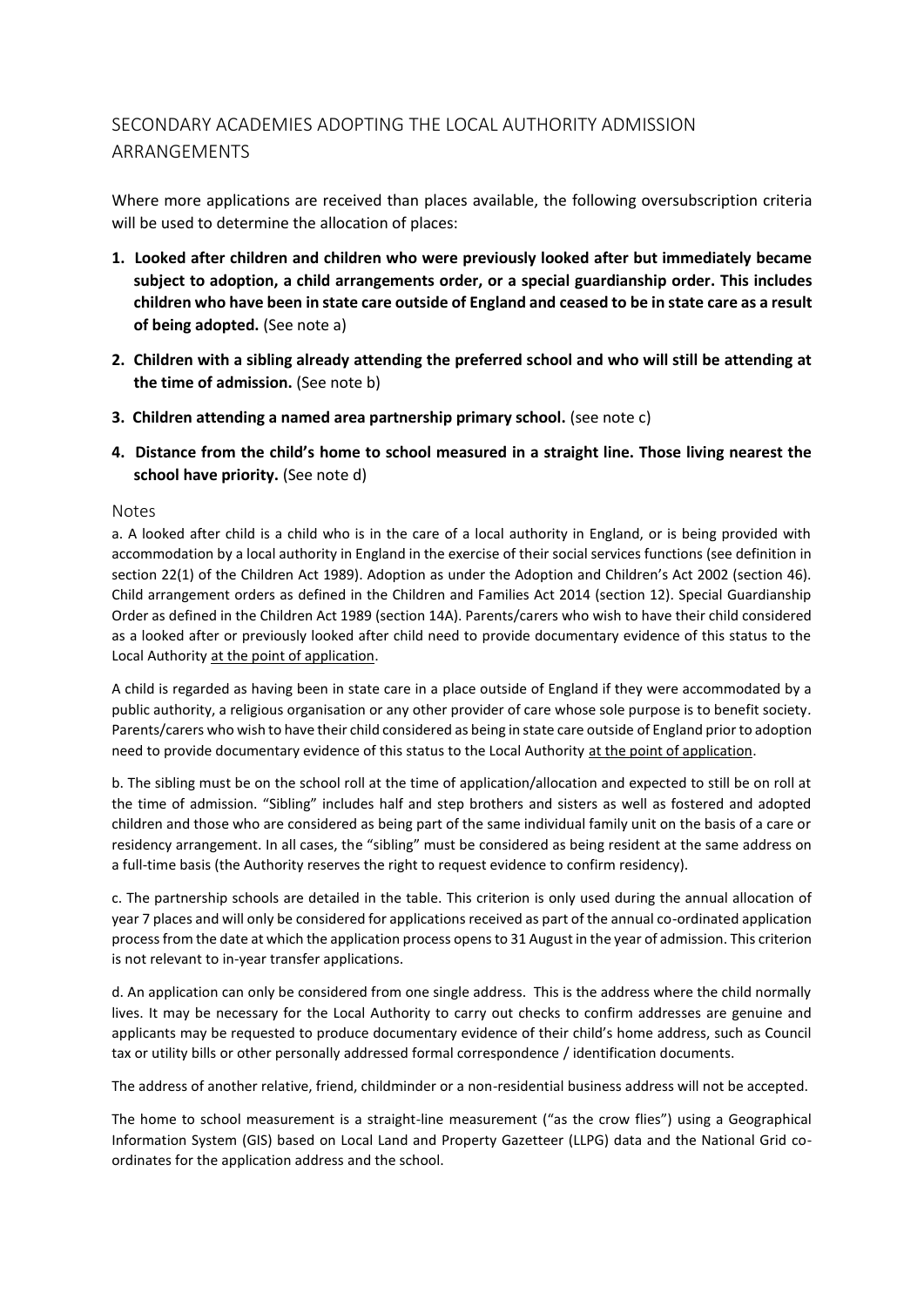# SECONDARY ACADEMIES ADOPTING THE LOCAL AUTHORITY ADMISSION ARRANGEMENTS

Where more applications are received than places available, the following oversubscription criteria will be used to determine the allocation of places:

- **1. Looked after children and children who were previously looked after but immediately became subject to adoption, a child arrangements order, or a special guardianship order. This includes children who have been in state care outside of England and ceased to be in state care as a result of being adopted.** (See note a)
- **2. Children with a sibling already attending the preferred school and who will still be attending at the time of admission.** (See note b)
- **3. Children attending a named area partnership primary school.** (see note c)
- **4. Distance from the child's home to school measured in a straight line. Those living nearest the**  school have priority. (See note d)

### Notes

a. A looked after child is a child who is in the care of a local authority in England, or is being provided with accommodation by a local authority in England in the exercise of their social services functions (see definition in section 22(1) of the Children Act 1989). Adoption as under the Adoption and Children's Act 2002 (section 46). Child arrangement orders as defined in the Children and Families Act 2014 (section 12). Special Guardianship Order as defined in the Children Act 1989 (section 14A). Parents/carers who wish to have their child considered as a looked after or previously looked after child need to provide documentary evidence of this status to the Local Authority at the point of application.

A child is regarded as having been in state care in a place outside of England if they were accommodated by a public authority, a religious organisation or any other provider of care whose sole purpose is to benefit society*.*  Parents/carers who wish to have their child considered as being in state care outside of England prior to adoption need to provide documentary evidence of this status to the Local Authority at the point of application.

b. The sibling must be on the school roll at the time of application/allocation and expected to still be on roll at the time of admission. "Sibling" includes half and step brothers and sisters as well as fostered and adopted children and those who are considered as being part of the same individual family unit on the basis of a care or residency arrangement. In all cases, the "sibling" must be considered as being resident at the same address on a full-time basis (the Authority reserves the right to request evidence to confirm residency).

c. The partnership schools are detailed in the table. This criterion is only used during the annual allocation of year 7 places and will only be considered for applications received as part of the annual co-ordinated application process from the date at which the application process opens to 31 August in the year of admission. This criterion is not relevant to in-year transfer applications.

d. An application can only be considered from one single address. This is the address where the child normally lives. It may be necessary for the Local Authority to carry out checks to confirm addresses are genuine and applicants may be requested to produce documentary evidence of their child's home address, such as Council tax or utility bills or other personally addressed formal correspondence / identification documents.

The address of another relative, friend, childminder or a non-residential business address will not be accepted.

The home to school measurement is a straight-line measurement ("as the crow flies") using a Geographical Information System (GIS) based on Local Land and Property Gazetteer (LLPG) data and the National Grid coordinates for the application address and the school.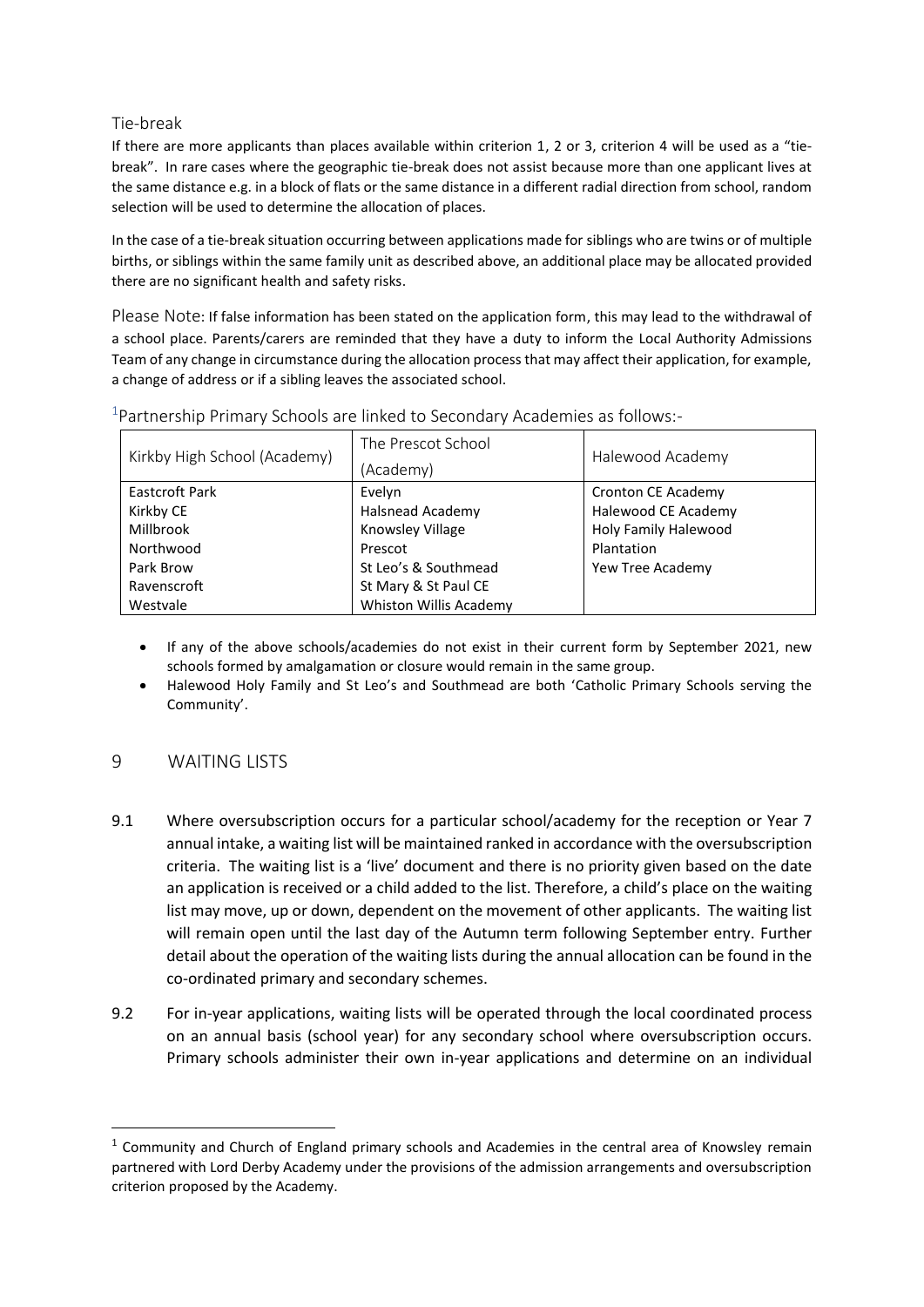## Tie-break

If there are more applicants than places available within criterion 1, 2 or 3, criterion 4 will be used as a "tiebreak". In rare cases where the geographic tie-break does not assist because more than one applicant lives at the same distance e.g. in a block of flats or the same distance in a different radial direction from school, random selection will be used to determine the allocation of places.

In the case of a tie-break situation occurring between applications made for siblings who are twins or of multiple births, or siblings within the same family unit as described above, an additional place may be allocated provided there are no significant health and safety risks.

Please Note: If false information has been stated on the application form, this may lead to the withdrawal of a school place. Parents/carers are reminded that they have a duty to inform the Local Authority Admissions Team of any change in circumstance during the allocation process that may affect their application, for example, a change of address or if a sibling leaves the associated school.

| Kirkby High School (Academy) | The Prescot School      | Halewood Academy     |  |  |
|------------------------------|-------------------------|----------------------|--|--|
|                              | (Academy)               |                      |  |  |
| <b>Eastcroft Park</b>        | Evelyn                  | Cronton CE Academy   |  |  |
| Kirkby CE                    | <b>Halsnead Academy</b> | Halewood CE Academy  |  |  |
| Millbrook                    | Knowsley Village        | Holy Family Halewood |  |  |
| Northwood                    | Prescot                 | Plantation           |  |  |
| Park Brow                    | St Leo's & Southmead    | Yew Tree Academy     |  |  |
| Ravenscroft                  | St Mary & St Paul CE    |                      |  |  |
| Westvale                     | Whiston Willis Academy  |                      |  |  |

<sup>1</sup> Partnership Primary Schools are linked to Secondary Academies as follows:-

- If any of the above schools/academies do not exist in their current form by September 2021, new schools formed by amalgamation or closure would remain in the same group.
- Halewood Holy Family and St Leo's and Southmead are both 'Catholic Primary Schools serving the Community'.

# 9 WAITING LISTS

- 9.1 Where oversubscription occurs for a particular school/academy for the reception or Year 7 annual intake, a waiting list will be maintained ranked in accordance with the oversubscription criteria. The waiting list is a 'live' document and there is no priority given based on the date an application is received or a child added to the list. Therefore, a child's place on the waiting list may move, up or down, dependent on the movement of other applicants. The waiting list will remain open until the last day of the Autumn term following September entry. Further detail about the operation of the waiting lists during the annual allocation can be found in the co-ordinated primary and secondary schemes.
- 9.2 For in-year applications, waiting lists will be operated through the local coordinated process on an annual basis (school year) for any secondary school where oversubscription occurs. Primary schools administer their own in-year applications and determine on an individual

 $1$  Community and Church of England primary schools and Academies in the central area of Knowsley remain partnered with Lord Derby Academy under the provisions of the admission arrangements and oversubscription criterion proposed by the Academy.